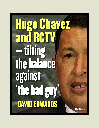## **Hugo Chavez and RCTV** – tilting the balance against 'thebadguy **, DAVID EDWARDS**

**ColdType**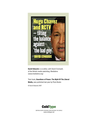

**David Edwards** is co-editor, with David Cromwell, of the British media watchdog, Medialens (www.medialens.org)

Their book, **Guardians of Power: The Myth Of The Liberal Media,** was published last year by Pluto Books

© David Edwards 2007



WRITING WORTH READING FROM AROUND THE WORLD www.coldtype.net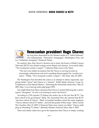

### **Venezuelan president Hugo Chavez**

has long been demonised by the Western media as a "leftist firebrand" (The Independent), "Venezuela's demagogue" (Washington Post), and as a "militaristic strongman" (Financial Times).

No surprise, then, that Chavez's decision not to renew the licence of Radio Caracas Television (RCTV) has elicited outrage across Britain and America. In an article titled, '"He is losing the country's respect",' Catherine Philp wrote in the Times:

"The move has fuelled accusations that Mr Chavez is moving towards an increasingly authoritarian rule and is quashing dissent against his 'socialist revolution'." (Philp, '"He is losing the country's respect",' The Times, May 29, 2007)

The Washington Post described the action as an attempt to silence opponents, supplying further "proof" that Chávez is a "dictator". (FAIR, Media Advisory, 'Coup Co-Conspirators as Free-Speech Martyrs – Distorting the Venezuelan media story,' May 25, 2007; http://www.fair.org/index.php?page=3107)

One might think from these comments that Chavez is indeed behaving like a stereotypical "strongman". So why is he refusing to renew the licence?

According to CNN reporter TJ Holmes the motive lies in the fact that RCTV "has been critical of his government" (Ibid). The Associated Press also stressed that RCTV "has been critical of Chávez". (Ibid) A Guardian headline carried the same emphasis: "Chavez silences critical TV station – and robs the people of their soaps." (Rory Carroll, The Guardian, May 23, 2007) A Financial Times news report was titled: "Chavez pulls plug on dissenting TV station." (Benedict Mander, Financial Times, May 9, 2007)

These and similar claims have given the impression that Chavez is simply crushing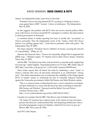dissent. An Independent leader came closer to the truth:

"President Chavez has long detested RCTV, accusing it of helping to incite a coup against him in 2002." (Leader, 'A show of intolerance,' The Independent, May 30, 2007)

As this suggests, the problem with RCTV does not revolve around political differences with Chavez; it revolves around RCTV's attempts to overthrow the democratically elected government of Venezuela.

A consistent theme of media reporting has been to ascribe this "accusation" to Chavez personally. Thus the Independent wrote of the "station, which Mr Chavez believes was plotting against him". ('Anti-Chavez protesters clash with police,' The Independent, May 29, 2007)

The Times reported: "President Chavez withdrew its licence, accusing the network of 'coup plotting'". (Philp, op. cit)

Likewise the Financial Times: "Chavez has repeatedly alleged that it supported the [2002] coup..." (Richard Lapper, 'TV channel axed in latest Chavez drama,' Financial Times, May 26, 2007)

And the BBC: "He [Chavez] says they were involved in a coup that nearly toppled him five years ago." (James Ingham, 'Venezuelans protest over TV issue,' BBC Online, May 27, 2007; http://news.bbc.co.uk/go/pr/fr/-/1/hi/world/ americas/6695769.stm)

These media reports thus all distort the truth by attributing a mere "claim" to Chavez, someone they have all previously demonised as an authoritarian "strongman". This earlier demonisation acts to undermine the credibility of the charge against RCTV in readers' minds, so reinforcing the bias of ostensibly balanced reporting against the Venezuelan government. Robert McChesney and Mark Weisbrot explain:

"This is a common means of distorting the news: a fact is reported as accusation, and then attributed to a source that the press has done everything to discredit." (McChesney and Weisbrot, 'Venezuela and the Media: Fact and Fiction,' Common Dreams, June 1, 2007;

http://www.commondreams.org/archive/2007/06/01/1607/)

Consider, for example, that the BBC's Ben Brown said of Saddam Hussein:

"He claims UN sanctions have reduced many of his citizens to near starvation – pictures like these [of a malnourished baby and despairing mother] have been a powerful propaganda weapon for Saddam, which he'll now have to give up." (Brown, BBC News, June 20, 1996)

And ITN's John Draper: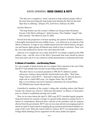"The idea now is targeted or 'smart' sanctions to help ordinary people while at the same time preventing the Iraqi leader from blaming the West for the hardships they're suffering." (Draper, ITN, 22:30 News, February 20, 2001)

And the Observer:

"The Iraqi dictator says his country's children are dying in their thousands because of the West's embargoes." (John Sweeney, 'How Saddam "staged" fake baby funerals,' The Observer, June 23, 2002)

Viewed from the perspective of honest reporting, the opinion of Saddam Hussein – a thoroughly demonised and non-credible source – was irrelevant to an analysis of the effects of sanctions. A range of very credible reports from the United Nations, aid agencies and human rights groups all blamed mass death in Iraq on sanctions. These were the views that mattered for anyone who cared about the truth.

Likewise, it is a simple fact, not a claim, that RCTV was deeply complicit in the 2002 military coup – and the views of the West's Venezuelan bete noire should be placed front and centre only if we are content for media demonisation to undermine this truth.

#### **A climate of transition – overthrowing Chavez**

In a rare example of media honesty, the Los Angeles Times reported at the end of May that RCTV had initially been focused on providing entertainment:

"But after Chavez was elected president in 1998, RCTV shifted to another endeavour: ousting a democratically elected leader from office." (Bart Jones, 'Hugo Chavez versus RCTV – Venezuela's oldest private TV network played a major role in a failed 2002 coup,' Los Angeles Times, May 30, 2007; http://www.latimes.com/news/opinion/commentary/la-oe-jones30may 30,1,5553603.story?ctrack=1&cset=true)

Controlled by members of the country's ruling elite, including station chief Marcel Granier, the channel saw Chavez's "Bolivarian Revolution" in defence of Venezuela's poor as a threat to established privilege and wealth.

Thus, for two days before the April 11, 2002 coup, RCTV cancelled regular programming and instead ran constant coverage of a general strike aimed at ousting Chavez. A stream of commentators delivered fierce criticism of the president with no response allowed from the government. RCTV also ran non-stop adverts encouraging people to attend an April 11 march aimed at toppling the government and broadcast blanket coverage of the event. When the march ended in violence, RCTV ran manipulated video footage falsely blaming Chavez supporters for the many deaths and injuries.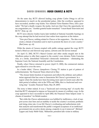On the same day, RCTV allowed leading coup plotter Carlos Ortega to call for demonstrators to march on the presidential palace. After the overthrow appeared to have succeeded, another coup leader, Vice-Admiral Victor Ramírez Pérez, told a journalist: "We had a deadly weapon: the media. And now that I have the opportunity, let me congratulate you." Another grateful leader remarked: "I must thank Venevisión and RCTV." (Fair, op. cit)

RCTV news director Andres Izarra later testified at National Assembly hearings on the coup attempt that he had received clear orders from superiors at the station:

"Zero pro-Chavez, nothing related to Chavez or his supporters... The idea was to create a climate of transition and to start to promote the dawn of a new country." (Bart Jones, op. cit)

While the streets of Caracas erupted with public outrage against the coup, RCTV turned a blind eye and showed soap operas, cartoons and old movies instead.

On April 13, 2002, RCTV's Marcel Granier and other media moguls met in the Miraflores palace to offer their support to the country's new dictator, Pedro Carmona who, at a stroke, demolished Venezuela's democratic institutions – eliminating the Supreme Court, the National Assembly and the Constitution.

Finally, when Chávez returned to power (April 13, 2002), the commercial stations again refused to cover the news.

In a leader titled, 'Chavez clampdown: Closing TV station is part of pattern of authoritarianism,' the Financial Times observed in May:

"The closure limits freedom of expression and reflects the arbitrary and authoritarian approach that has come to characterise Mr Chavez's government. In a region where the media have been becoming more open in recent years after the dark period of military rule in the 1970s and 1980s, this is a backward and worrying step." (Leader, Financial Times, May 29, 2007)

The irony is bitter indeed. It was a "backward and worrying step" of exactly this kind that RCTV attempted to impose on Venezuela by means of a military coup. As the coup appeared to have succeeded in April 2002, the Financial Times helped create "a climate of transition" for British readers:

"But while the Chavez administration was hobbled by inefficiency, a lack of support across class lines and an inability to tackle the country's economic problems and rising crime rate, it was Mr Chavez's overbearing and authoritarian style that analysts said transformed the public's resigned acceptance of an ineffectual government into an active desire among a majority to see it removed." (Richard Lapper and Andy Webb-Vidal, 'Militaristic president falls victim to military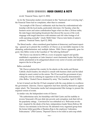revolt,' Financial Times, April 13, 2002)

As for the Venezuelan media's involvement in this "backward and worrying step", the Financial Times had no complaints, other than to comment:

"An example of Mr Chavez's militaristic style has been his confrontational relationship with the local media, particularly television. On Tuesday, when the business sector and union confederation began what was then a 24-hour strike, the state began interrupting broadcasts that showed the success of the work stoppage with turgid interviews with ministers and old video footage of oil wells operating normally." (Andy Webb-Vidal, 'Chavez tests limits of nation's patience,' Financial Times, April 12, 2002)

The liberal media – often considered great bastions of democracy and honest reporting – queued up to present the overthrow of Chavez as an inevitable response to his alienating authoritarianism and multiple failures. With Chavez apparently gone for good, Alex Bellos wrote in the Guardian of "the leftwing firebrand":

"Mr Chavez was elected in 1998 on a wave of popular support and quickly established a reputation as Latin America's most charismatic leader. But his popularity plummeted as he antagonised almost every sector of society and failed to improve the lot of the poor."

Bellos concluded:

"Mr Chavez polarised the country by his attacks on the media and Roman Catholic church leaders, his refusal to consult with business chiefs and his failed attempt to assert control on the unions. The US accused his government of provoking the crisis by ordering its supporters to fire on peaceful demonstrators." (Alex Bellos, 'Ousted Chavez detained by army,' The Guardian, April 13, 2002)

In fact it turned out that the US had conspired with the coup plotters to overthrow the government. Likewise, Chavez supporters had been *defending* themselves against sniper attack. The Venezuelan media had misrepresented film footage to present the required version of events.

In similar vein, the Independent wrote of Chavez:

"His authoritarian style, his friendship with Fidel Castro and his inability to reverse Venezuela's 20-year slide into poverty and corruption, took their toll on his popularity ratings... Convinced he was embarked on a 'Bolivarian revolution', inspired by the ideals of his hero, independence leader Simon Bolivar, Mr Chavez was messianic in his fervour. He alienated every organised group from the former leftist guerrillas of Bandera Roja to the employers' federation, Fedecamaras." (Phil Gunson, 'Deposed Chavez to be exiled as anti-coup rebels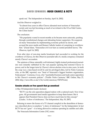speak out,' The Independent on Sunday, April 14, 2002)

And the Observer weighed in:

"In almost four years in office Chavez alienated most sections of Venezuelan society and was fast becoming as much of an irritant to the US as Fidel Castro, the Cuban leader."

The conclusion:

"His popularity waned in recent months as he became more autocratic, pushing through constitutional changes and alienating former supporters. He exasperated many Venezuelans by implementing economic policies by decree, and accused the news media and Roman Catholic leaders of conspiring to overthrow him." (Faisal Islam, 'Venezuelan civil war fears as ousted president leaves,' The Observer, April 14, 2002)

Even after days of non-stop media broadcasts had succeeded in working for the overthrow of Chavez, for this Observer journalist talk of a media conspiracy remained merely Chavez's accusation.

The opinions of these ostensibly well-informed, highly-trained professional journalists were instantly rubbished by the vast popular uprising that restored Chavez to power, and in the longer term by Chavez's eleven election wins in nine years. In truth the coup was a class-based revolt by and for privileged elites, led by Pedro Carmona who, as the BBC reported, was "head of Venezuela's biggest business organisation, Fedecamaras". Carmona, it was, who "marshalled business and trade union opposition to Mr. Chavez's economic policies". ('Profile: Pedro Carmona,' BBC Online, May 27, 2002; http://news.bbc.co.uk/1/hi/world/americas/1927678.stm)

#### **Genuine attacks on free speech that go unnoticed**

A May 30 Independent leader declared:

"RCTV was the sole opposition-aligned station with a national reach. Now it has gone. All governments need media opposition to keep them honest. But it appears that President Chavez does not have much time for this concept." (Leader, 'A show of intolerance,' The Independent, May 30, 2007)

Refusing to renew the licence of a TV channel complicit in the demolition of democracy described above is somehow "a show of intolerance" for the Independent. In fact RCTV has not "gone" – it is being allowed to continue operating by satellite and cable.

The Venezuela Information Centre (VIC) notes: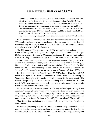"In Britain, TV and radio must adhere to the Broadcasting Code which embodies objectives that Parliament set down in the Communications Act of 2003. This states that 'Material likely to encourage or incite the commission of crime or to lead to disorder must not be included in television or radio services' and that 'Broadcasters must use their best endeavours so as not to broadcast material that could endanger lives.' RCTV's role in the coup would have clearly violated these laws." ('The truth about RCTV – a VIC briefing,'

http://www.vicuk.org/index.php?option=com\_content&task=view&id=186&Itemid=29)

FAIR also makes the obvious point: "Were a similar event to happen in the U.S., and TV journalists and executives were caught conspiring with coup plotters, it's doubtful they would stay out of jail, let alone be allowed to continue to run television stations, as they have in Venezuela." (FAIR, op. cit)

The BBC reported: "The decision to close RCTV has received international condemnation, including from the EU, press freedom groups, Chile and the US, which urged Mr Chavez to reverse the closure." ('Venezuela head in new TV warning,' BBC Online, May 29, 2007; http://news.bbc.co.uk/go/pr/fr/-/1/hi/world/americas/6702965.stm)

Almost unmentioned anywhere in the media are the statements of support made by a number of countries and leaders, such as Rafael Correa in Ecuador, Daniel Ortega in Nicaragua, Evo Morales in Bolivia and Luiz Inacio Lula da Silva in Brazil. The BBC report cited RCTV's general manager Marcel Granier who described the "closure" as "abusive" and "arbitrary" – not a word was written of Granier's role in the 2002 coup.

In a letter published in the Guardian (May 26, 2007), Gordon Hutchinson of VIC noted that despite claims made by opponents of Chavez, there is no censorship in Venezuela, where 95% of the media is fiercely opposed to the government. This includes five privately owned TV channels controlling 90% of the market. All of the country's 118 newspaper companies, both regional and national, are held in private hands, as are 706 out of 709 radio stations.

While the British and American press focus intensely on the alleged crushing of free speech in Venezuela, little is written about comparable actions elsewhere. A report on 21 countries, including the US and in Europe, by J. David Carracedo published in the magazine Diagonal, found that there have been at least 236 closures, revocations, and non-renewals of radio and TV licences. (See: VIC, 'The truth about RCTV,' op. cit)

There is also little media interest in genuine attacks on media freedom elsewhere in Latin America.

In Honduras, beginning May 28, 2007, President Manuel Zelaya ordered all TV and radio stations to broadcast daily one-hour prime-time programmes for ten days to counteract what he called "misinformation" on his administration provided by the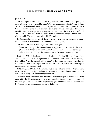press. (Ibid)

The BBC reported Zelaya's actions on May 25 (Will Grant, 'Honduras TV gets government order'; http://news.bbc.co.uk/1/hi/world/americas/6690217. stm) A June 11 media database search found that in the previous two weeks the US press had mentioned Zelaya's actions in four articles – the highest-profile outlet being the Miami Herald. Over the same period, the US press had mentioned the words "Chavez" and "RCTV" in 207 articles. The British press had not mentioned Zelaya's actions at all – Chavez and RCTV had been mentioned in 23 articles.

In Colombia, President Álvaro Uribe was asked if he would have refused to renew RCTV's licence. Uribe replied: "I would not do that to anybody."

The Inter Press Service News Agency commented wryly:

"But the rightwing Uribe cannot shut down opposition TV stations for the simple reason that there aren't any." (Diana Cariboni, 'Easy to See the Speck in the Other's Eye,' May 30, 2007; http://ipsnews.net/news.asp?idnews=37957)

In October 2004, Uribe closed the public Instituto de Radio y Televisión (Inravisión). The Colombian government argued that Inravisión was "inefficient." But the underlying problem "was the strength of the union" of Inravisión employees, according to Milciades Vizcaíno, a sociologist who worked for nearly 27 years in educational programming for the channel. (Ibid)

In Nicaragua in 2002, La Poderosa radio station lost its licence and had its equipment seized without any legal proceedings by the Enrique Bolaños administration. La Poderosa was an outspoken critic of the government.

These and many other attacks on free speech across the region do not make the front pages of the British and American press. As usual, alleged concerns for democracy and human rights mask deeper priorities: protecting governments that toe the line dictated by Western power, and undermining those that do not.